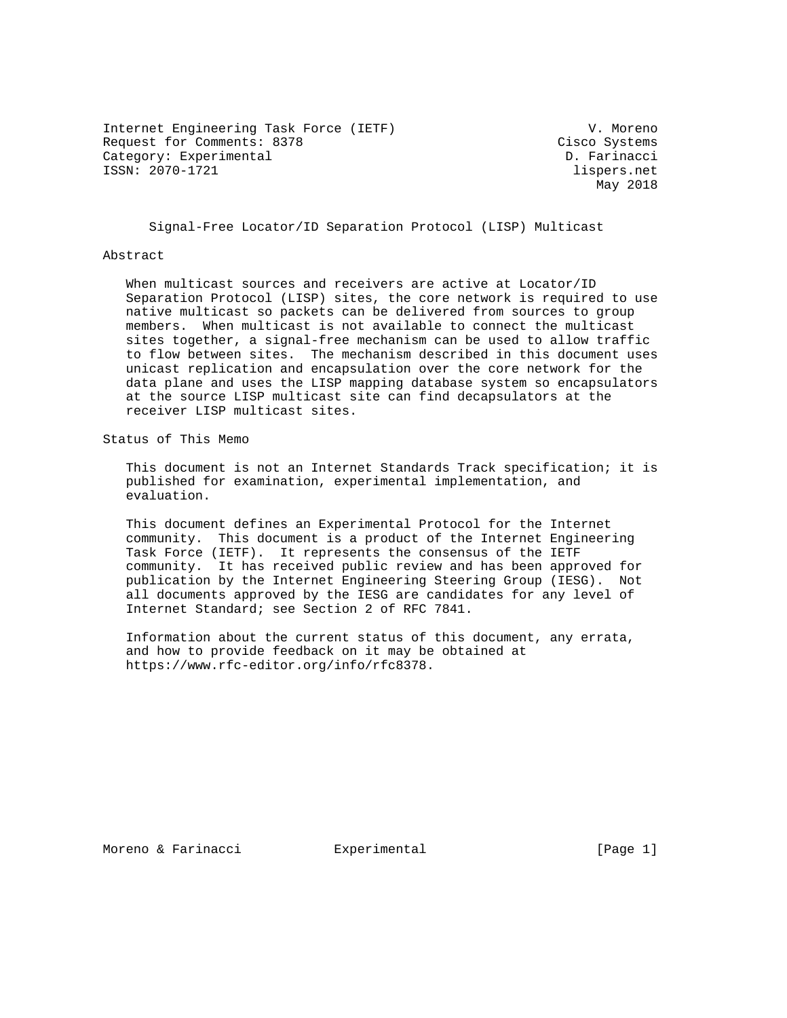Internet Engineering Task Force (IETF) V. Moreno Request for Comments: 8378 Cisco Systems Category: Experimental D. Farinacci ISSN: 2070-1721 lispers.net

May 2018

Signal-Free Locator/ID Separation Protocol (LISP) Multicast

### Abstract

 When multicast sources and receivers are active at Locator/ID Separation Protocol (LISP) sites, the core network is required to use native multicast so packets can be delivered from sources to group members. When multicast is not available to connect the multicast sites together, a signal-free mechanism can be used to allow traffic to flow between sites. The mechanism described in this document uses unicast replication and encapsulation over the core network for the data plane and uses the LISP mapping database system so encapsulators at the source LISP multicast site can find decapsulators at the receiver LISP multicast sites.

Status of This Memo

 This document is not an Internet Standards Track specification; it is published for examination, experimental implementation, and evaluation.

 This document defines an Experimental Protocol for the Internet community. This document is a product of the Internet Engineering Task Force (IETF). It represents the consensus of the IETF community. It has received public review and has been approved for publication by the Internet Engineering Steering Group (IESG). Not all documents approved by the IESG are candidates for any level of Internet Standard; see Section 2 of RFC 7841.

 Information about the current status of this document, any errata, and how to provide feedback on it may be obtained at https://www.rfc-editor.org/info/rfc8378.

Moreno & Farinacci and Experimental and Experimental [Page 1]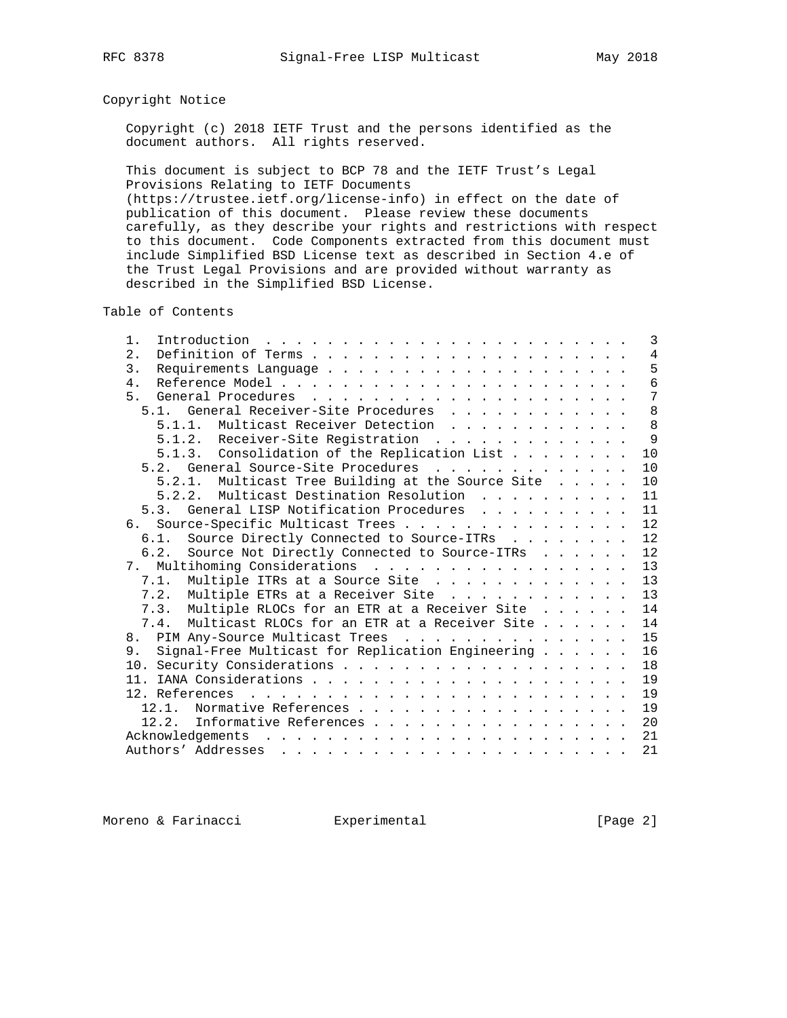# Copyright Notice

 Copyright (c) 2018 IETF Trust and the persons identified as the document authors. All rights reserved.

 This document is subject to BCP 78 and the IETF Trust's Legal Provisions Relating to IETF Documents

 (https://trustee.ietf.org/license-info) in effect on the date of publication of this document. Please review these documents carefully, as they describe your rights and restrictions with respect to this document. Code Components extracted from this document must include Simplified BSD License text as described in Section 4.e of the Trust Legal Provisions and are provided without warranty as described in the Simplified BSD License.

Table of Contents

| $1$ .<br>Introduction $\ldots \ldots \ldots \ldots \ldots \ldots \ldots \ldots$                                                                                                                                                                   | 3              |
|---------------------------------------------------------------------------------------------------------------------------------------------------------------------------------------------------------------------------------------------------|----------------|
| 2.                                                                                                                                                                                                                                                | $\overline{4}$ |
| 3.                                                                                                                                                                                                                                                | 5              |
| $4$ .                                                                                                                                                                                                                                             | $\overline{6}$ |
| 5.                                                                                                                                                                                                                                                | 7              |
| General Receiver-Site Procedures<br>5.1.                                                                                                                                                                                                          | 8              |
| 5.1.1. Multicast Receiver Detection                                                                                                                                                                                                               | 8              |
| 5.1.2. Receiver-Site Registration                                                                                                                                                                                                                 | 9              |
| 5.1.3. Consolidation of the Replication List                                                                                                                                                                                                      | 10             |
| 5.2. General Source-Site Procedures                                                                                                                                                                                                               | 10             |
| 5.2.1. Multicast Tree Building at the Source Site                                                                                                                                                                                                 | 10             |
| 5.2.2. Multicast Destination Resolution                                                                                                                                                                                                           | 11             |
| 5.3. General LISP Notification Procedures                                                                                                                                                                                                         | 11             |
| Source-Specific Multicast Trees<br>რ.                                                                                                                                                                                                             | 12             |
| 6.1. Source Directly Connected to Source-ITRs                                                                                                                                                                                                     | 12             |
| Source Not Directly Connected to Source-ITRs<br>6.2.                                                                                                                                                                                              | 12             |
|                                                                                                                                                                                                                                                   | 13             |
| 7.1. Multiple ITRs at a Source Site                                                                                                                                                                                                               | 13             |
| 7.2. Multiple ETRs at a Receiver Site                                                                                                                                                                                                             | 13             |
| Multiple RLOCs for an ETR at a Receiver Site<br>7.3.                                                                                                                                                                                              | 14             |
| Multicast RLOCs for an ETR at a Receiver Site<br>7.4.                                                                                                                                                                                             | 14             |
| 8. PIM Any-Source Multicast Trees                                                                                                                                                                                                                 | 15             |
| Signal-Free Multicast for Replication Engineering<br>9.                                                                                                                                                                                           | 16             |
|                                                                                                                                                                                                                                                   | 18             |
|                                                                                                                                                                                                                                                   | 19             |
|                                                                                                                                                                                                                                                   | 19             |
| Normative References<br>12.1.                                                                                                                                                                                                                     | 19             |
| Informative References<br>12.2.                                                                                                                                                                                                                   | 20             |
| Acknowledgements<br>. The contract of the contract of the contract of the contract of the contract of the contract of the contract of the contract of the contract of the contract of the contract of the contract of the contract of the contrac | 21             |
|                                                                                                                                                                                                                                                   | 21             |
|                                                                                                                                                                                                                                                   |                |

Moreno & Farinacci and Experimental and Experimental (Page 2)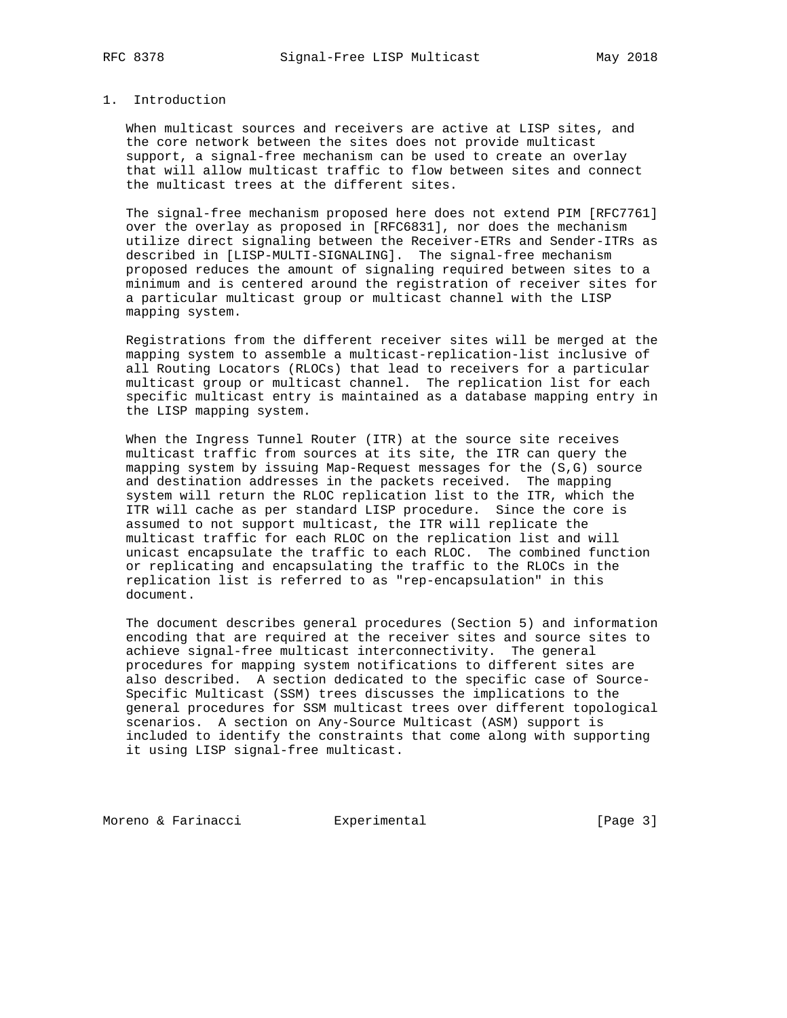# 1. Introduction

 When multicast sources and receivers are active at LISP sites, and the core network between the sites does not provide multicast support, a signal-free mechanism can be used to create an overlay that will allow multicast traffic to flow between sites and connect the multicast trees at the different sites.

 The signal-free mechanism proposed here does not extend PIM [RFC7761] over the overlay as proposed in [RFC6831], nor does the mechanism utilize direct signaling between the Receiver-ETRs and Sender-ITRs as described in [LISP-MULTI-SIGNALING]. The signal-free mechanism proposed reduces the amount of signaling required between sites to a minimum and is centered around the registration of receiver sites for a particular multicast group or multicast channel with the LISP mapping system.

 Registrations from the different receiver sites will be merged at the mapping system to assemble a multicast-replication-list inclusive of all Routing Locators (RLOCs) that lead to receivers for a particular multicast group or multicast channel. The replication list for each specific multicast entry is maintained as a database mapping entry in the LISP mapping system.

 When the Ingress Tunnel Router (ITR) at the source site receives multicast traffic from sources at its site, the ITR can query the mapping system by issuing Map-Request messages for the (S,G) source and destination addresses in the packets received. The mapping system will return the RLOC replication list to the ITR, which the ITR will cache as per standard LISP procedure. Since the core is assumed to not support multicast, the ITR will replicate the multicast traffic for each RLOC on the replication list and will unicast encapsulate the traffic to each RLOC. The combined function or replicating and encapsulating the traffic to the RLOCs in the replication list is referred to as "rep-encapsulation" in this document.

 The document describes general procedures (Section 5) and information encoding that are required at the receiver sites and source sites to achieve signal-free multicast interconnectivity. The general procedures for mapping system notifications to different sites are also described. A section dedicated to the specific case of Source- Specific Multicast (SSM) trees discusses the implications to the general procedures for SSM multicast trees over different topological scenarios. A section on Any-Source Multicast (ASM) support is included to identify the constraints that come along with supporting it using LISP signal-free multicast.

Moreno & Farinacci **Experimental** [Page 3]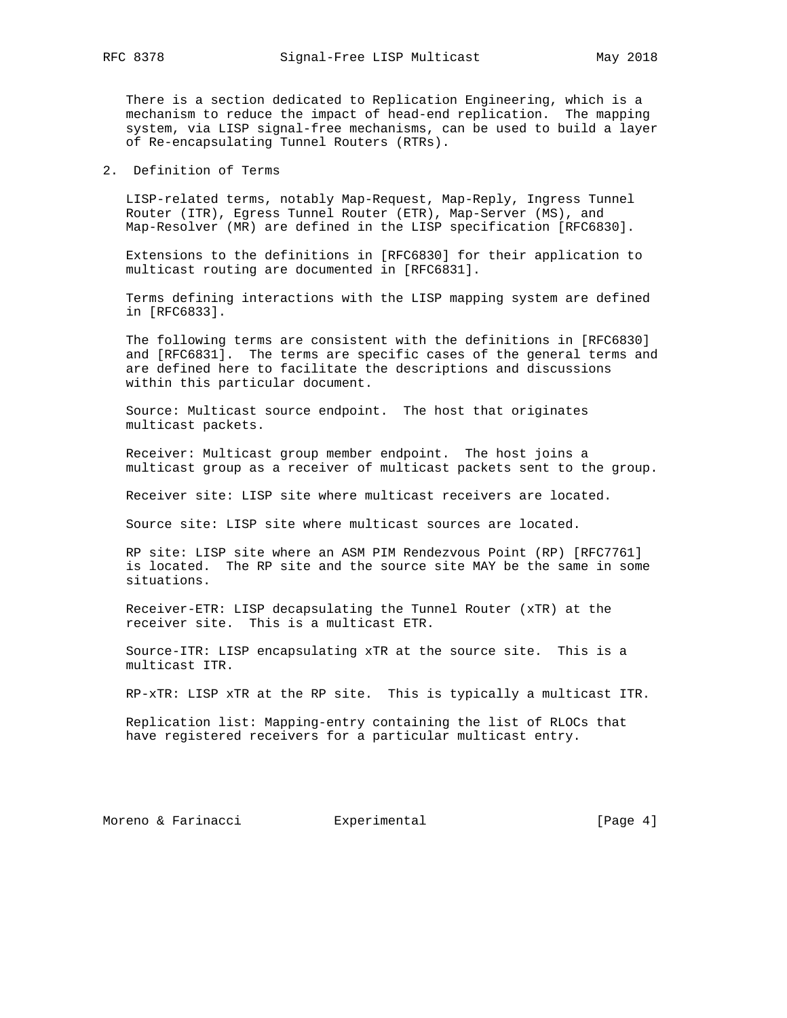There is a section dedicated to Replication Engineering, which is a mechanism to reduce the impact of head-end replication. The mapping system, via LISP signal-free mechanisms, can be used to build a layer of Re-encapsulating Tunnel Routers (RTRs).

2. Definition of Terms

 LISP-related terms, notably Map-Request, Map-Reply, Ingress Tunnel Router (ITR), Egress Tunnel Router (ETR), Map-Server (MS), and Map-Resolver (MR) are defined in the LISP specification [RFC6830].

 Extensions to the definitions in [RFC6830] for their application to multicast routing are documented in [RFC6831].

 Terms defining interactions with the LISP mapping system are defined in [RFC6833].

 The following terms are consistent with the definitions in [RFC6830] and [RFC6831]. The terms are specific cases of the general terms and are defined here to facilitate the descriptions and discussions within this particular document.

 Source: Multicast source endpoint. The host that originates multicast packets.

 Receiver: Multicast group member endpoint. The host joins a multicast group as a receiver of multicast packets sent to the group.

Receiver site: LISP site where multicast receivers are located.

Source site: LISP site where multicast sources are located.

 RP site: LISP site where an ASM PIM Rendezvous Point (RP) [RFC7761] is located. The RP site and the source site MAY be the same in some situations.

 Receiver-ETR: LISP decapsulating the Tunnel Router (xTR) at the receiver site. This is a multicast ETR.

 Source-ITR: LISP encapsulating xTR at the source site. This is a multicast ITR.

RP-xTR: LISP xTR at the RP site. This is typically a multicast ITR.

 Replication list: Mapping-entry containing the list of RLOCs that have registered receivers for a particular multicast entry.

Moreno & Farinacci and Experimental and Experimental (Page 4)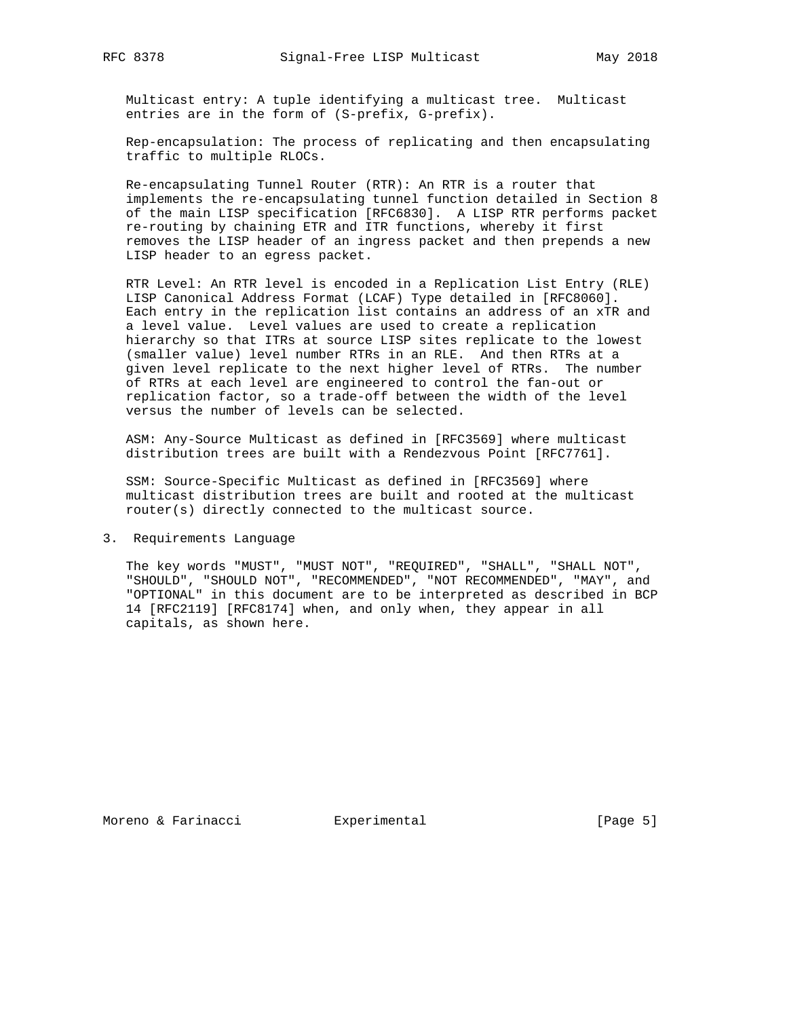Multicast entry: A tuple identifying a multicast tree. Multicast entries are in the form of (S-prefix, G-prefix).

 Rep-encapsulation: The process of replicating and then encapsulating traffic to multiple RLOCs.

 Re-encapsulating Tunnel Router (RTR): An RTR is a router that implements the re-encapsulating tunnel function detailed in Section 8 of the main LISP specification [RFC6830]. A LISP RTR performs packet re-routing by chaining ETR and ITR functions, whereby it first removes the LISP header of an ingress packet and then prepends a new LISP header to an egress packet.

 RTR Level: An RTR level is encoded in a Replication List Entry (RLE) LISP Canonical Address Format (LCAF) Type detailed in [RFC8060]. Each entry in the replication list contains an address of an xTR and a level value. Level values are used to create a replication hierarchy so that ITRs at source LISP sites replicate to the lowest (smaller value) level number RTRs in an RLE. And then RTRs at a given level replicate to the next higher level of RTRs. The number of RTRs at each level are engineered to control the fan-out or replication factor, so a trade-off between the width of the level versus the number of levels can be selected.

 ASM: Any-Source Multicast as defined in [RFC3569] where multicast distribution trees are built with a Rendezvous Point [RFC7761].

 SSM: Source-Specific Multicast as defined in [RFC3569] where multicast distribution trees are built and rooted at the multicast router(s) directly connected to the multicast source.

3. Requirements Language

 The key words "MUST", "MUST NOT", "REQUIRED", "SHALL", "SHALL NOT", "SHOULD", "SHOULD NOT", "RECOMMENDED", "NOT RECOMMENDED", "MAY", and "OPTIONAL" in this document are to be interpreted as described in BCP 14 [RFC2119] [RFC8174] when, and only when, they appear in all capitals, as shown here.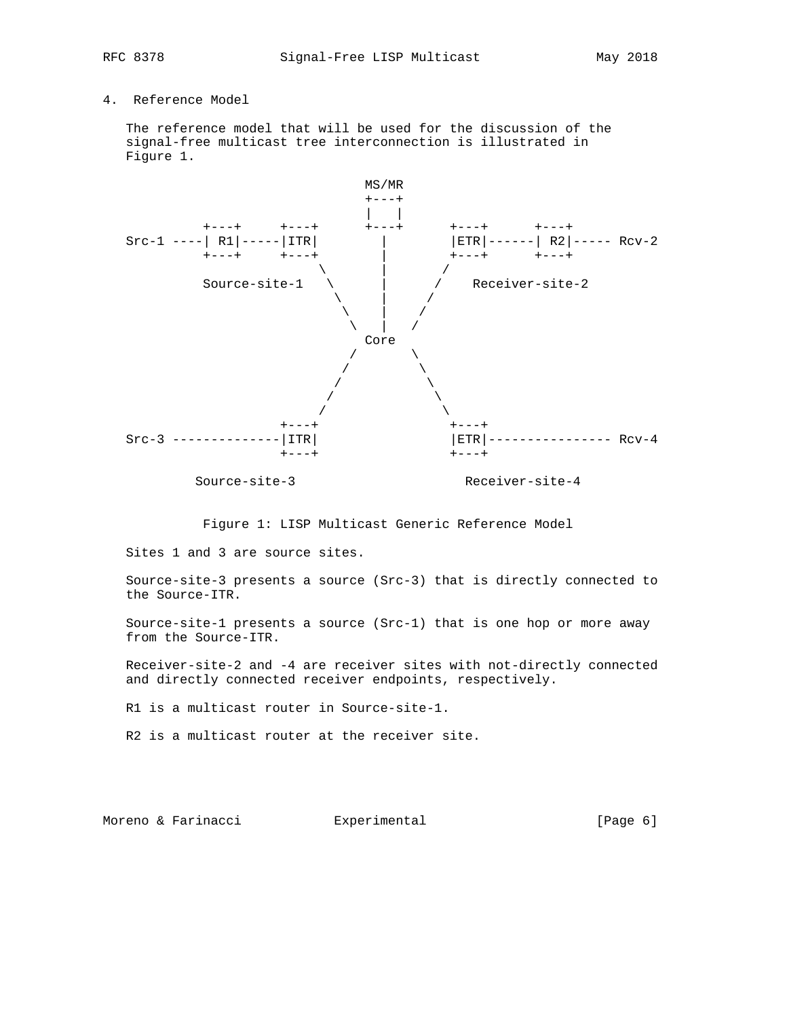# 4. Reference Model

 The reference model that will be used for the discussion of the signal-free multicast tree interconnection is illustrated in Figure 1.



Figure 1: LISP Multicast Generic Reference Model

Sites 1 and 3 are source sites.

 Source-site-3 presents a source (Src-3) that is directly connected to the Source-ITR.

 Source-site-1 presents a source (Src-1) that is one hop or more away from the Source-ITR.

 Receiver-site-2 and -4 are receiver sites with not-directly connected and directly connected receiver endpoints, respectively.

R1 is a multicast router in Source-site-1.

R2 is a multicast router at the receiver site.

Moreno & Farinacci and Experimental and Experimental (Page 6)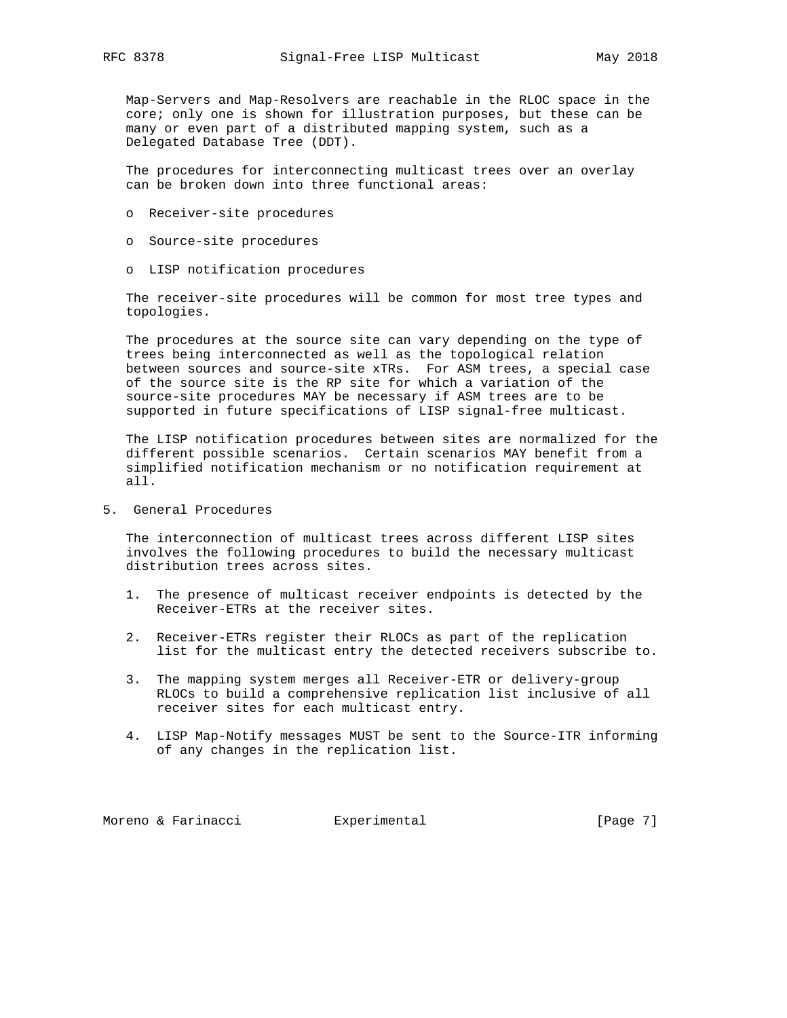Map-Servers and Map-Resolvers are reachable in the RLOC space in the core; only one is shown for illustration purposes, but these can be many or even part of a distributed mapping system, such as a Delegated Database Tree (DDT).

 The procedures for interconnecting multicast trees over an overlay can be broken down into three functional areas:

- o Receiver-site procedures
- o Source-site procedures
- o LISP notification procedures

 The receiver-site procedures will be common for most tree types and topologies.

 The procedures at the source site can vary depending on the type of trees being interconnected as well as the topological relation between sources and source-site xTRs. For ASM trees, a special case of the source site is the RP site for which a variation of the source-site procedures MAY be necessary if ASM trees are to be supported in future specifications of LISP signal-free multicast.

 The LISP notification procedures between sites are normalized for the different possible scenarios. Certain scenarios MAY benefit from a simplified notification mechanism or no notification requirement at all.

5. General Procedures

 The interconnection of multicast trees across different LISP sites involves the following procedures to build the necessary multicast distribution trees across sites.

- 1. The presence of multicast receiver endpoints is detected by the Receiver-ETRs at the receiver sites.
- 2. Receiver-ETRs register their RLOCs as part of the replication list for the multicast entry the detected receivers subscribe to.
- 3. The mapping system merges all Receiver-ETR or delivery-group RLOCs to build a comprehensive replication list inclusive of all receiver sites for each multicast entry.
- 4. LISP Map-Notify messages MUST be sent to the Source-ITR informing of any changes in the replication list.

Moreno & Farinacci and Experimental (Page 7)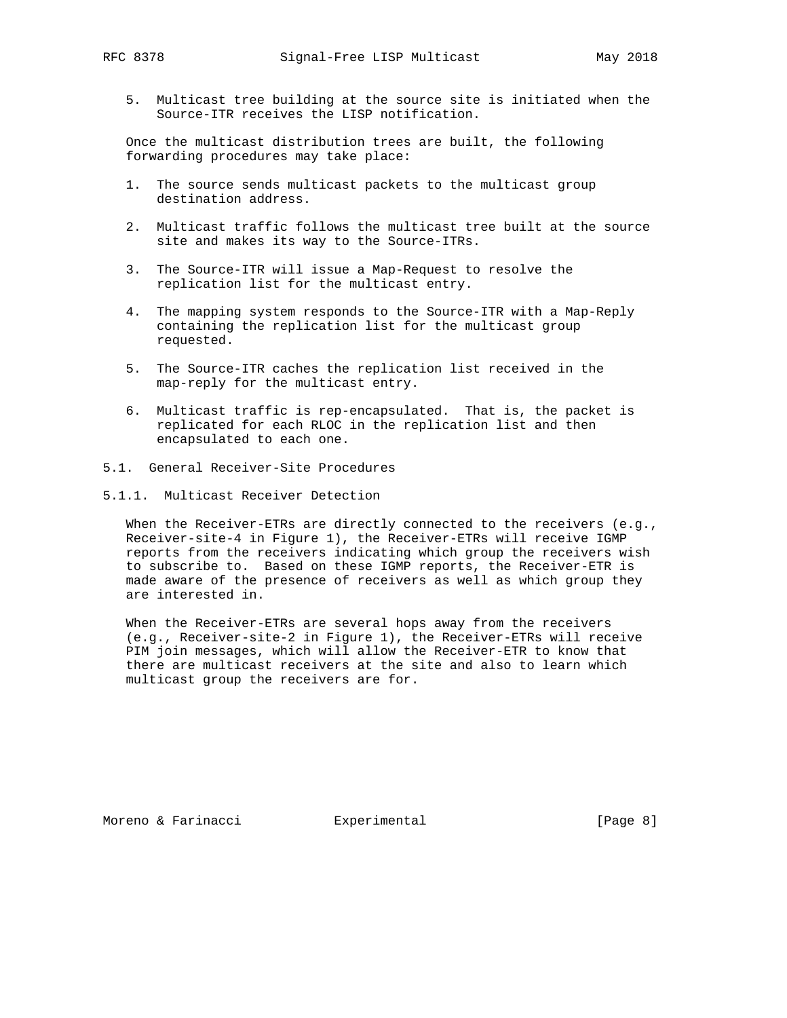5. Multicast tree building at the source site is initiated when the Source-ITR receives the LISP notification.

 Once the multicast distribution trees are built, the following forwarding procedures may take place:

- 1. The source sends multicast packets to the multicast group destination address.
- 2. Multicast traffic follows the multicast tree built at the source site and makes its way to the Source-ITRs.
- 3. The Source-ITR will issue a Map-Request to resolve the replication list for the multicast entry.
- 4. The mapping system responds to the Source-ITR with a Map-Reply containing the replication list for the multicast group requested.
- 5. The Source-ITR caches the replication list received in the map-reply for the multicast entry.
- 6. Multicast traffic is rep-encapsulated. That is, the packet is replicated for each RLOC in the replication list and then encapsulated to each one.
- 5.1. General Receiver-Site Procedures
- 5.1.1. Multicast Receiver Detection

 When the Receiver-ETRs are directly connected to the receivers (e.g., Receiver-site-4 in Figure 1), the Receiver-ETRs will receive IGMP reports from the receivers indicating which group the receivers wish to subscribe to. Based on these IGMP reports, the Receiver-ETR is made aware of the presence of receivers as well as which group they are interested in.

 When the Receiver-ETRs are several hops away from the receivers (e.g., Receiver-site-2 in Figure 1), the Receiver-ETRs will receive PIM join messages, which will allow the Receiver-ETR to know that there are multicast receivers at the site and also to learn which multicast group the receivers are for.

Moreno & Farinacci and Experimental and Experimental (Page 8)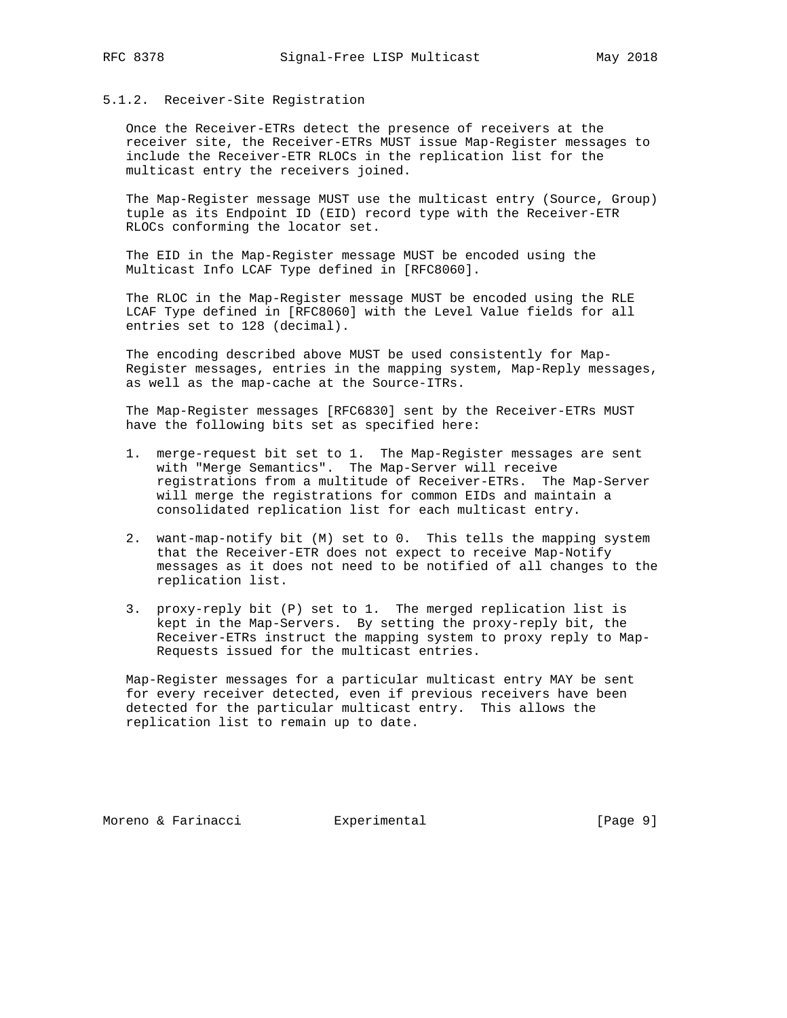### 5.1.2. Receiver-Site Registration

 Once the Receiver-ETRs detect the presence of receivers at the receiver site, the Receiver-ETRs MUST issue Map-Register messages to include the Receiver-ETR RLOCs in the replication list for the multicast entry the receivers joined.

 The Map-Register message MUST use the multicast entry (Source, Group) tuple as its Endpoint ID (EID) record type with the Receiver-ETR RLOCs conforming the locator set.

 The EID in the Map-Register message MUST be encoded using the Multicast Info LCAF Type defined in [RFC8060].

 The RLOC in the Map-Register message MUST be encoded using the RLE LCAF Type defined in [RFC8060] with the Level Value fields for all entries set to 128 (decimal).

 The encoding described above MUST be used consistently for Map- Register messages, entries in the mapping system, Map-Reply messages, as well as the map-cache at the Source-ITRs.

 The Map-Register messages [RFC6830] sent by the Receiver-ETRs MUST have the following bits set as specified here:

- 1. merge-request bit set to 1. The Map-Register messages are sent with "Merge Semantics". The Map-Server will receive registrations from a multitude of Receiver-ETRs. The Map-Server will merge the registrations for common EIDs and maintain a consolidated replication list for each multicast entry.
- 2. want-map-notify bit (M) set to 0. This tells the mapping system that the Receiver-ETR does not expect to receive Map-Notify messages as it does not need to be notified of all changes to the replication list.
- 3. proxy-reply bit (P) set to 1. The merged replication list is kept in the Map-Servers. By setting the proxy-reply bit, the Receiver-ETRs instruct the mapping system to proxy reply to Map- Requests issued for the multicast entries.

 Map-Register messages for a particular multicast entry MAY be sent for every receiver detected, even if previous receivers have been detected for the particular multicast entry. This allows the replication list to remain up to date.

Moreno & Farinacci and Experimental and Experimental [Page 9]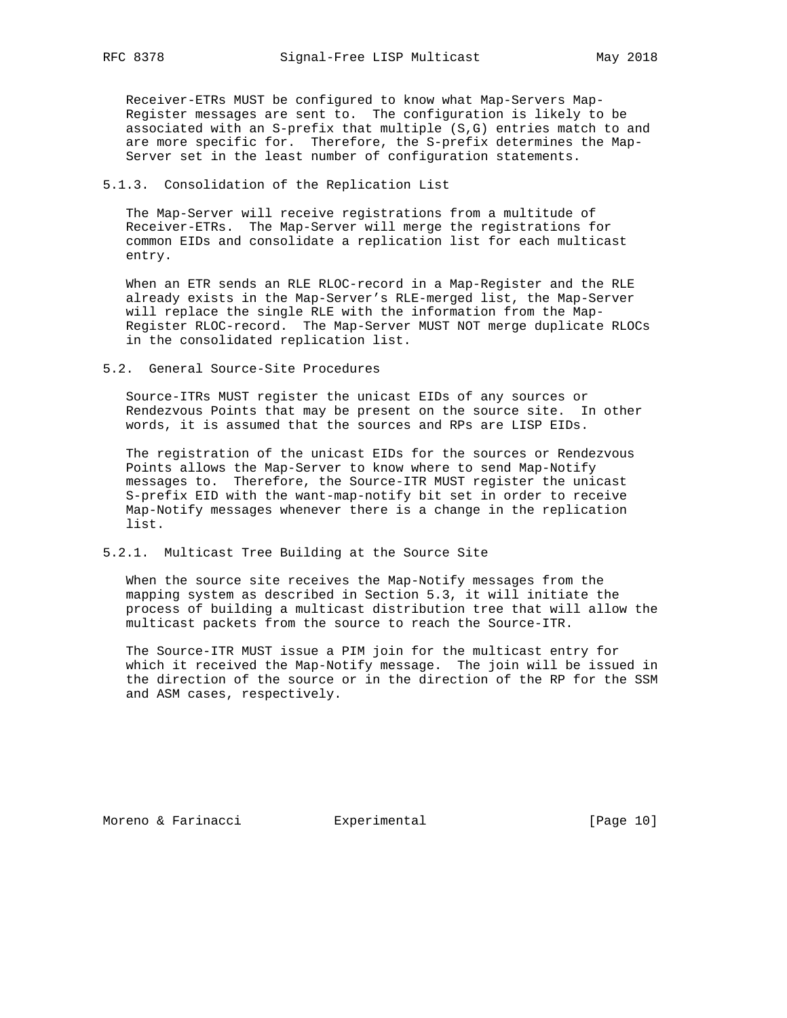Receiver-ETRs MUST be configured to know what Map-Servers Map- Register messages are sent to. The configuration is likely to be associated with an S-prefix that multiple (S,G) entries match to and are more specific for. Therefore, the S-prefix determines the Map- Server set in the least number of configuration statements.

## 5.1.3. Consolidation of the Replication List

 The Map-Server will receive registrations from a multitude of Receiver-ETRs. The Map-Server will merge the registrations for common EIDs and consolidate a replication list for each multicast entry.

 When an ETR sends an RLE RLOC-record in a Map-Register and the RLE already exists in the Map-Server's RLE-merged list, the Map-Server will replace the single RLE with the information from the Map- Register RLOC-record. The Map-Server MUST NOT merge duplicate RLOCs in the consolidated replication list.

5.2. General Source-Site Procedures

 Source-ITRs MUST register the unicast EIDs of any sources or Rendezvous Points that may be present on the source site. In other words, it is assumed that the sources and RPs are LISP EIDs.

 The registration of the unicast EIDs for the sources or Rendezvous Points allows the Map-Server to know where to send Map-Notify messages to. Therefore, the Source-ITR MUST register the unicast S-prefix EID with the want-map-notify bit set in order to receive Map-Notify messages whenever there is a change in the replication list.

### 5.2.1. Multicast Tree Building at the Source Site

 When the source site receives the Map-Notify messages from the mapping system as described in Section 5.3, it will initiate the process of building a multicast distribution tree that will allow the multicast packets from the source to reach the Source-ITR.

 The Source-ITR MUST issue a PIM join for the multicast entry for which it received the Map-Notify message. The join will be issued in the direction of the source or in the direction of the RP for the SSM and ASM cases, respectively.

Moreno & Farinacci  $\qquad \qquad$  Experimental  $\qquad \qquad$  [Page 10]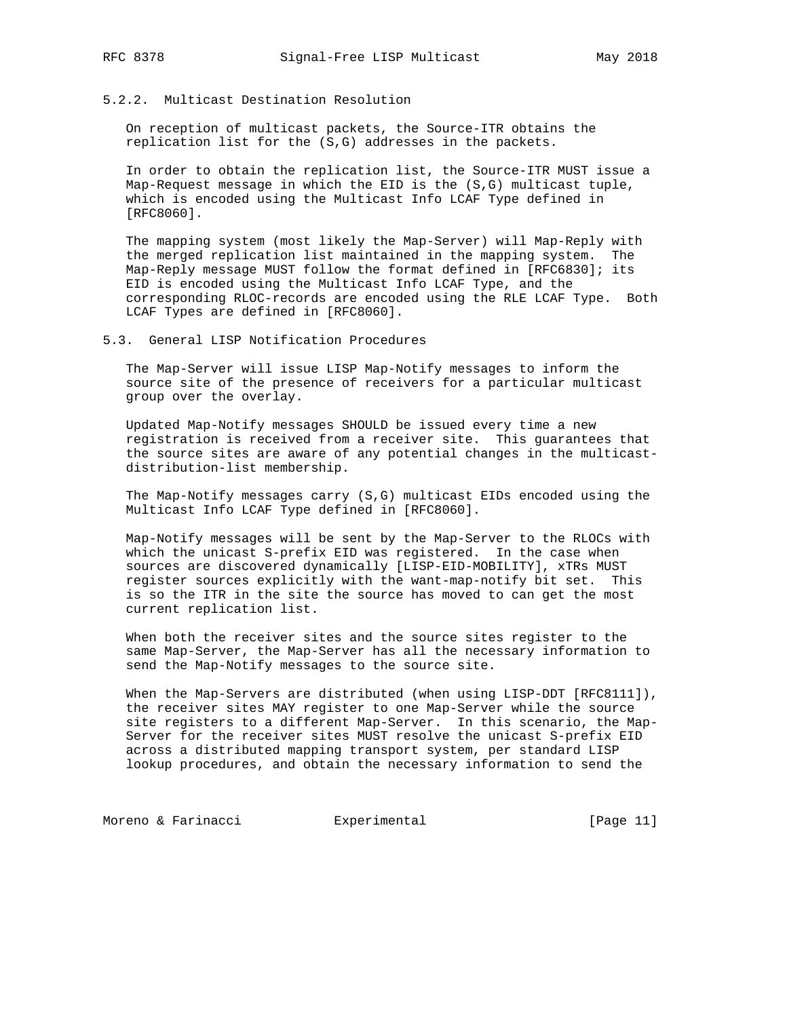# 5.2.2. Multicast Destination Resolution

 On reception of multicast packets, the Source-ITR obtains the replication list for the (S,G) addresses in the packets.

 In order to obtain the replication list, the Source-ITR MUST issue a Map-Request message in which the EID is the (S,G) multicast tuple, which is encoded using the Multicast Info LCAF Type defined in [RFC8060].

 The mapping system (most likely the Map-Server) will Map-Reply with the merged replication list maintained in the mapping system. The Map-Reply message MUST follow the format defined in [RFC6830]; its EID is encoded using the Multicast Info LCAF Type, and the corresponding RLOC-records are encoded using the RLE LCAF Type. Both LCAF Types are defined in [RFC8060].

### 5.3. General LISP Notification Procedures

 The Map-Server will issue LISP Map-Notify messages to inform the source site of the presence of receivers for a particular multicast group over the overlay.

 Updated Map-Notify messages SHOULD be issued every time a new registration is received from a receiver site. This guarantees that the source sites are aware of any potential changes in the multicast distribution-list membership.

 The Map-Notify messages carry (S,G) multicast EIDs encoded using the Multicast Info LCAF Type defined in [RFC8060].

 Map-Notify messages will be sent by the Map-Server to the RLOCs with which the unicast S-prefix EID was registered. In the case when sources are discovered dynamically [LISP-EID-MOBILITY], xTRs MUST register sources explicitly with the want-map-notify bit set. This is so the ITR in the site the source has moved to can get the most current replication list.

 When both the receiver sites and the source sites register to the same Map-Server, the Map-Server has all the necessary information to send the Map-Notify messages to the source site.

When the Map-Servers are distributed (when using LISP-DDT [RFC8111]), the receiver sites MAY register to one Map-Server while the source site registers to a different Map-Server. In this scenario, the Map- Server for the receiver sites MUST resolve the unicast S-prefix EID across a distributed mapping transport system, per standard LISP lookup procedures, and obtain the necessary information to send the

Moreno & Farinacci **Experimental** [Page 11]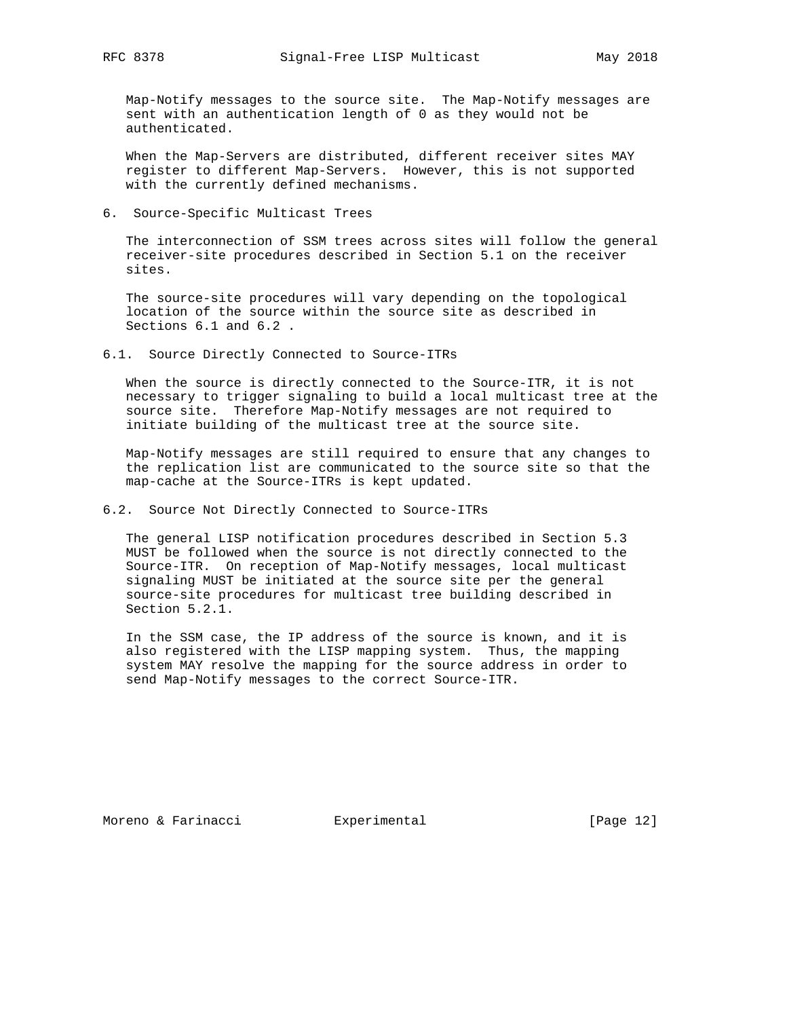Map-Notify messages to the source site. The Map-Notify messages are sent with an authentication length of 0 as they would not be authenticated.

 When the Map-Servers are distributed, different receiver sites MAY register to different Map-Servers. However, this is not supported with the currently defined mechanisms.

6. Source-Specific Multicast Trees

 The interconnection of SSM trees across sites will follow the general receiver-site procedures described in Section 5.1 on the receiver sites.

 The source-site procedures will vary depending on the topological location of the source within the source site as described in Sections 6.1 and 6.2 .

6.1. Source Directly Connected to Source-ITRs

 When the source is directly connected to the Source-ITR, it is not necessary to trigger signaling to build a local multicast tree at the source site. Therefore Map-Notify messages are not required to initiate building of the multicast tree at the source site.

 Map-Notify messages are still required to ensure that any changes to the replication list are communicated to the source site so that the map-cache at the Source-ITRs is kept updated.

6.2. Source Not Directly Connected to Source-ITRs

 The general LISP notification procedures described in Section 5.3 MUST be followed when the source is not directly connected to the Source-ITR. On reception of Map-Notify messages, local multicast signaling MUST be initiated at the source site per the general source-site procedures for multicast tree building described in Section 5.2.1.

 In the SSM case, the IP address of the source is known, and it is also registered with the LISP mapping system. Thus, the mapping system MAY resolve the mapping for the source address in order to send Map-Notify messages to the correct Source-ITR.

Moreno & Farinacci and Experimental [Page 12]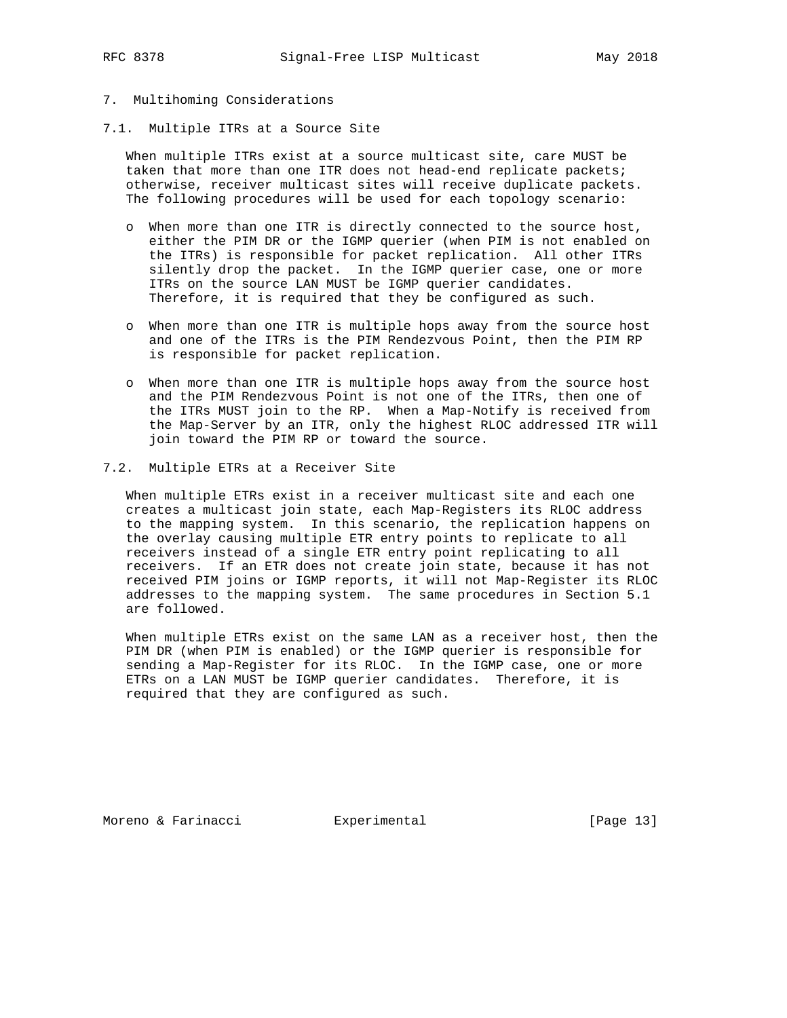# 7. Multihoming Considerations

7.1. Multiple ITRs at a Source Site

 When multiple ITRs exist at a source multicast site, care MUST be taken that more than one ITR does not head-end replicate packets; otherwise, receiver multicast sites will receive duplicate packets. The following procedures will be used for each topology scenario:

- o When more than one ITR is directly connected to the source host, either the PIM DR or the IGMP querier (when PIM is not enabled on the ITRs) is responsible for packet replication. All other ITRs silently drop the packet. In the IGMP querier case, one or more ITRs on the source LAN MUST be IGMP querier candidates. Therefore, it is required that they be configured as such.
- o When more than one ITR is multiple hops away from the source host and one of the ITRs is the PIM Rendezvous Point, then the PIM RP is responsible for packet replication.
- o When more than one ITR is multiple hops away from the source host and the PIM Rendezvous Point is not one of the ITRs, then one of the ITRs MUST join to the RP. When a Map-Notify is received from the Map-Server by an ITR, only the highest RLOC addressed ITR will join toward the PIM RP or toward the source.
- 7.2. Multiple ETRs at a Receiver Site

 When multiple ETRs exist in a receiver multicast site and each one creates a multicast join state, each Map-Registers its RLOC address to the mapping system. In this scenario, the replication happens on the overlay causing multiple ETR entry points to replicate to all receivers instead of a single ETR entry point replicating to all receivers. If an ETR does not create join state, because it has not received PIM joins or IGMP reports, it will not Map-Register its RLOC addresses to the mapping system. The same procedures in Section 5.1 are followed.

 When multiple ETRs exist on the same LAN as a receiver host, then the PIM DR (when PIM is enabled) or the IGMP querier is responsible for sending a Map-Register for its RLOC. In the IGMP case, one or more ETRs on a LAN MUST be IGMP querier candidates. Therefore, it is required that they are configured as such.

Moreno & Farinacci and Experimental and Experimental [Page 13]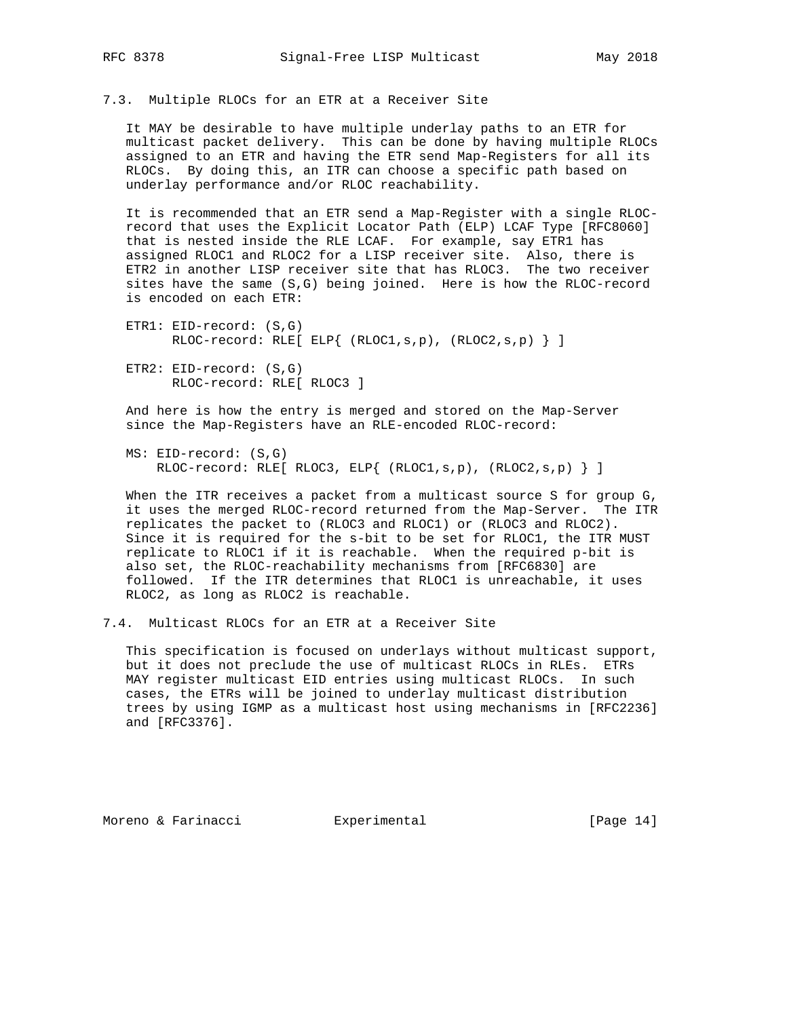7.3. Multiple RLOCs for an ETR at a Receiver Site

 It MAY be desirable to have multiple underlay paths to an ETR for multicast packet delivery. This can be done by having multiple RLOCs assigned to an ETR and having the ETR send Map-Registers for all its RLOCs. By doing this, an ITR can choose a specific path based on underlay performance and/or RLOC reachability.

 It is recommended that an ETR send a Map-Register with a single RLOC record that uses the Explicit Locator Path (ELP) LCAF Type [RFC8060] that is nested inside the RLE LCAF. For example, say ETR1 has assigned RLOC1 and RLOC2 for a LISP receiver site. Also, there is ETR2 in another LISP receiver site that has RLOC3. The two receiver sites have the same (S,G) being joined. Here is how the RLOC-record is encoded on each ETR:

```
 ETR1: EID-record: (S,G)
     RLOC-record: RLE[ ELP{ (RLOC1,s,p), (RLOC2,s,p) } ]
ETR2: EID-record: (S,G)
```
RLOC-record: RLE[ RLOC3 ]

 And here is how the entry is merged and stored on the Map-Server since the Map-Registers have an RLE-encoded RLOC-record:

```
 MS: EID-record: (S,G)
  RLOC-record: RLE[ RLOC3, ELP{ (RLOC1,s,p), (RLOC2,s,p) } ]
```
 When the ITR receives a packet from a multicast source S for group G, it uses the merged RLOC-record returned from the Map-Server. The ITR replicates the packet to (RLOC3 and RLOC1) or (RLOC3 and RLOC2). Since it is required for the s-bit to be set for RLOC1, the ITR MUST replicate to RLOC1 if it is reachable. When the required p-bit is also set, the RLOC-reachability mechanisms from [RFC6830] are followed. If the ITR determines that RLOC1 is unreachable, it uses RLOC2, as long as RLOC2 is reachable.

7.4. Multicast RLOCs for an ETR at a Receiver Site

 This specification is focused on underlays without multicast support, but it does not preclude the use of multicast RLOCs in RLEs. ETRs MAY register multicast EID entries using multicast RLOCs. In such cases, the ETRs will be joined to underlay multicast distribution trees by using IGMP as a multicast host using mechanisms in [RFC2236] and [RFC3376].

Moreno & Farinacci and Experimental [Page 14]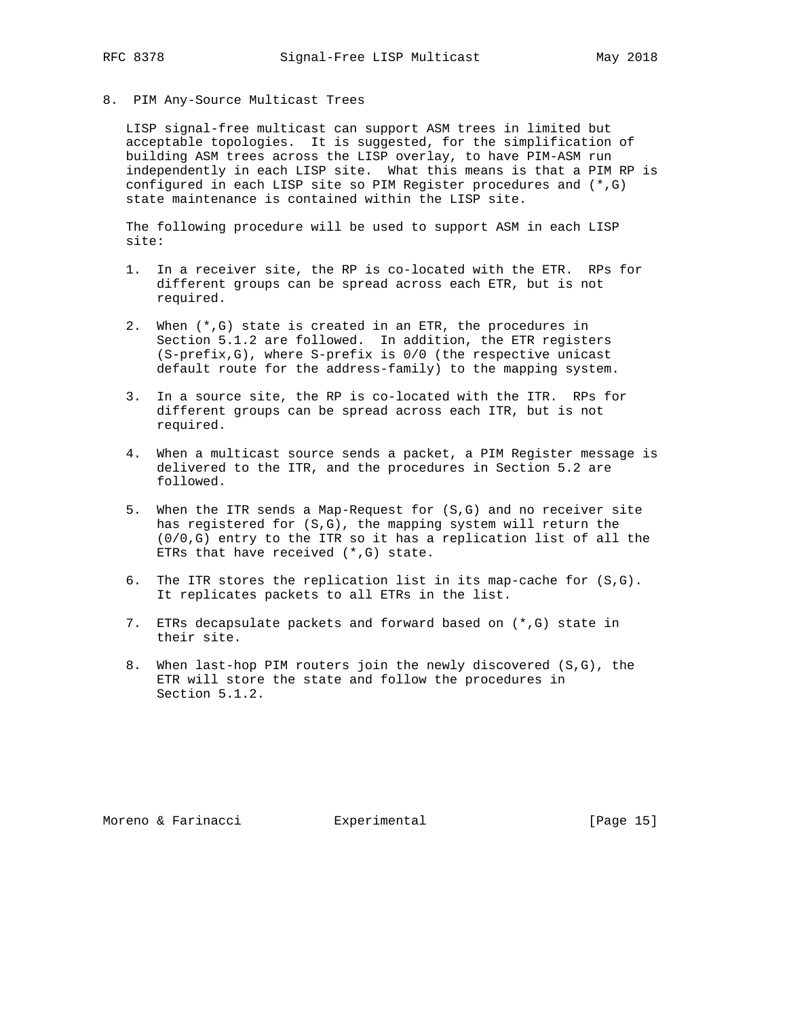8. PIM Any-Source Multicast Trees

 LISP signal-free multicast can support ASM trees in limited but acceptable topologies. It is suggested, for the simplification of building ASM trees across the LISP overlay, to have PIM-ASM run independently in each LISP site. What this means is that a PIM RP is configured in each LISP site so PIM Register procedures and (\*,G) state maintenance is contained within the LISP site.

 The following procedure will be used to support ASM in each LISP site:

- 1. In a receiver site, the RP is co-located with the ETR. RPs for different groups can be spread across each ETR, but is not required.
- 2. When (\*,G) state is created in an ETR, the procedures in Section 5.1.2 are followed. In addition, the ETR registers (S-prefix,G), where S-prefix is 0/0 (the respective unicast default route for the address-family) to the mapping system.
- 3. In a source site, the RP is co-located with the ITR. RPs for different groups can be spread across each ITR, but is not required.
- 4. When a multicast source sends a packet, a PIM Register message is delivered to the ITR, and the procedures in Section 5.2 are followed.
- 5. When the ITR sends a Map-Request for (S,G) and no receiver site has registered for (S,G), the mapping system will return the (0/0,G) entry to the ITR so it has a replication list of all the ETRs that have received  $(*$ , G) state.
- 6. The ITR stores the replication list in its map-cache for (S,G). It replicates packets to all ETRs in the list.
- 7. ETRs decapsulate packets and forward based on (\*,G) state in their site.
- 8. When last-hop PIM routers join the newly discovered (S,G), the ETR will store the state and follow the procedures in Section 5.1.2.

Moreno & Farinacci and Experimental [Page 15]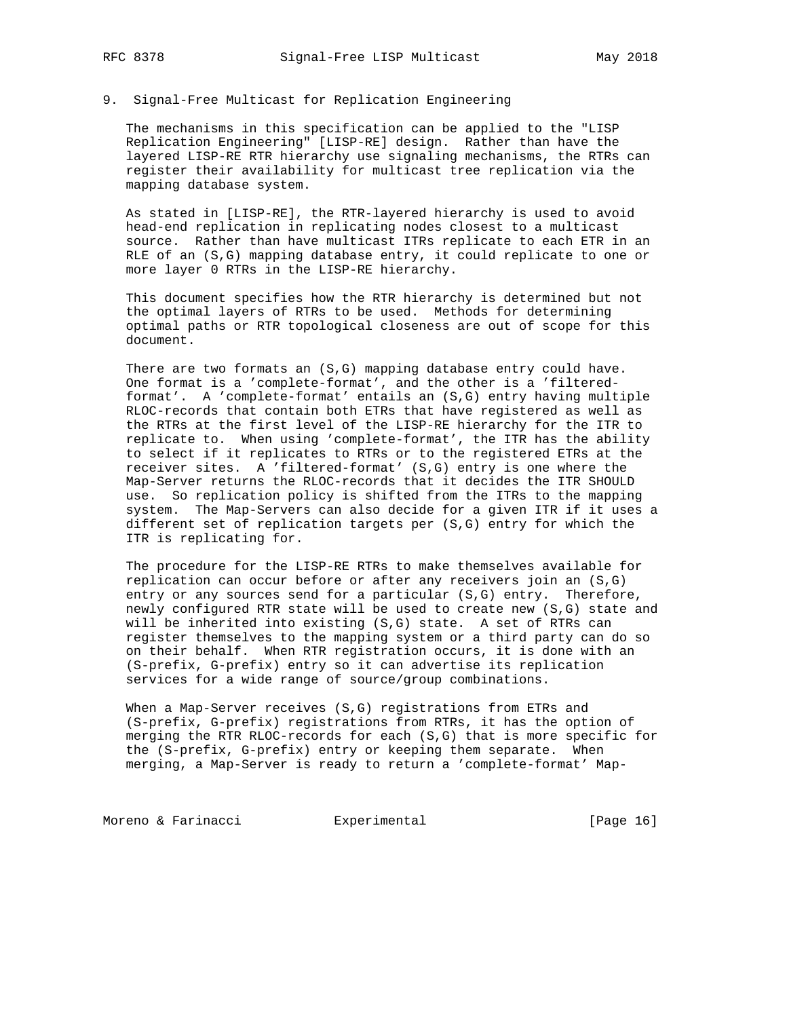### 9. Signal-Free Multicast for Replication Engineering

 The mechanisms in this specification can be applied to the "LISP Replication Engineering" [LISP-RE] design. Rather than have the layered LISP-RE RTR hierarchy use signaling mechanisms, the RTRs can register their availability for multicast tree replication via the mapping database system.

 As stated in [LISP-RE], the RTR-layered hierarchy is used to avoid head-end replication in replicating nodes closest to a multicast source. Rather than have multicast ITRs replicate to each ETR in an RLE of an (S,G) mapping database entry, it could replicate to one or more layer 0 RTRs in the LISP-RE hierarchy.

 This document specifies how the RTR hierarchy is determined but not the optimal layers of RTRs to be used. Methods for determining optimal paths or RTR topological closeness are out of scope for this document.

 There are two formats an (S,G) mapping database entry could have. One format is a 'complete-format', and the other is a 'filtered format'. A 'complete-format' entails an (S,G) entry having multiple RLOC-records that contain both ETRs that have registered as well as the RTRs at the first level of the LISP-RE hierarchy for the ITR to replicate to. When using 'complete-format', the ITR has the ability to select if it replicates to RTRs or to the registered ETRs at the receiver sites. A 'filtered-format' (S,G) entry is one where the Map-Server returns the RLOC-records that it decides the ITR SHOULD use. So replication policy is shifted from the ITRs to the mapping system. The Map-Servers can also decide for a given ITR if it uses a different set of replication targets per (S,G) entry for which the ITR is replicating for.

 The procedure for the LISP-RE RTRs to make themselves available for replication can occur before or after any receivers join an (S,G) entry or any sources send for a particular (S,G) entry. Therefore, newly configured RTR state will be used to create new (S,G) state and will be inherited into existing (S,G) state. A set of RTRs can register themselves to the mapping system or a third party can do so on their behalf. When RTR registration occurs, it is done with an (S-prefix, G-prefix) entry so it can advertise its replication services for a wide range of source/group combinations.

 When a Map-Server receives (S,G) registrations from ETRs and (S-prefix, G-prefix) registrations from RTRs, it has the option of merging the RTR RLOC-records for each (S,G) that is more specific for the (S-prefix, G-prefix) entry or keeping them separate. When merging, a Map-Server is ready to return a 'complete-format' Map-

Moreno & Farinacci and Experimental [Page 16]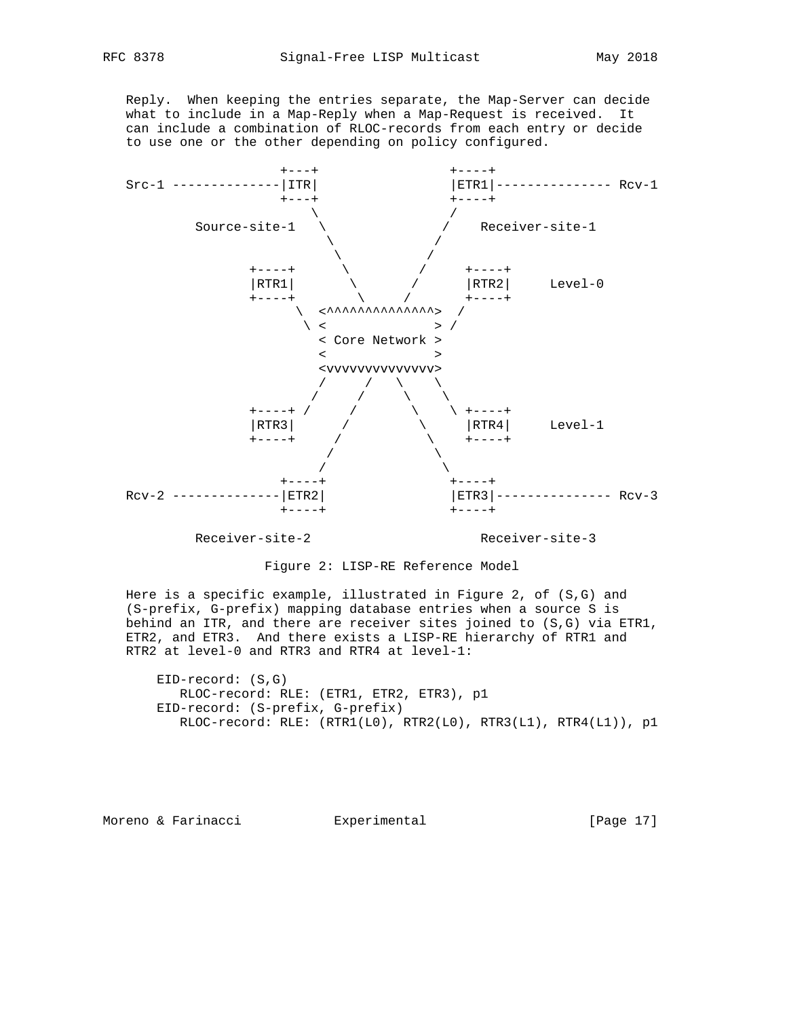Reply. When keeping the entries separate, the Map-Server can decide what to include in a Map-Reply when a Map-Request is received. It can include a combination of RLOC-records from each entry or decide to use one or the other depending on policy configured.



Receiver-site-2 Receiver-site-3

Figure 2: LISP-RE Reference Model

 Here is a specific example, illustrated in Figure 2, of (S,G) and (S-prefix, G-prefix) mapping database entries when a source S is behind an ITR, and there are receiver sites joined to (S,G) via ETR1, ETR2, and ETR3. And there exists a LISP-RE hierarchy of RTR1 and RTR2 at level-0 and RTR3 and RTR4 at level-1:

 EID-record: (S,G) RLOC-record: RLE: (ETR1, ETR2, ETR3), p1 EID-record: (S-prefix, G-prefix) RLOC-record: RLE: (RTR1(L0), RTR2(L0), RTR3(L1), RTR4(L1)), p1

Moreno & Farinacci and Experimental [Page 17]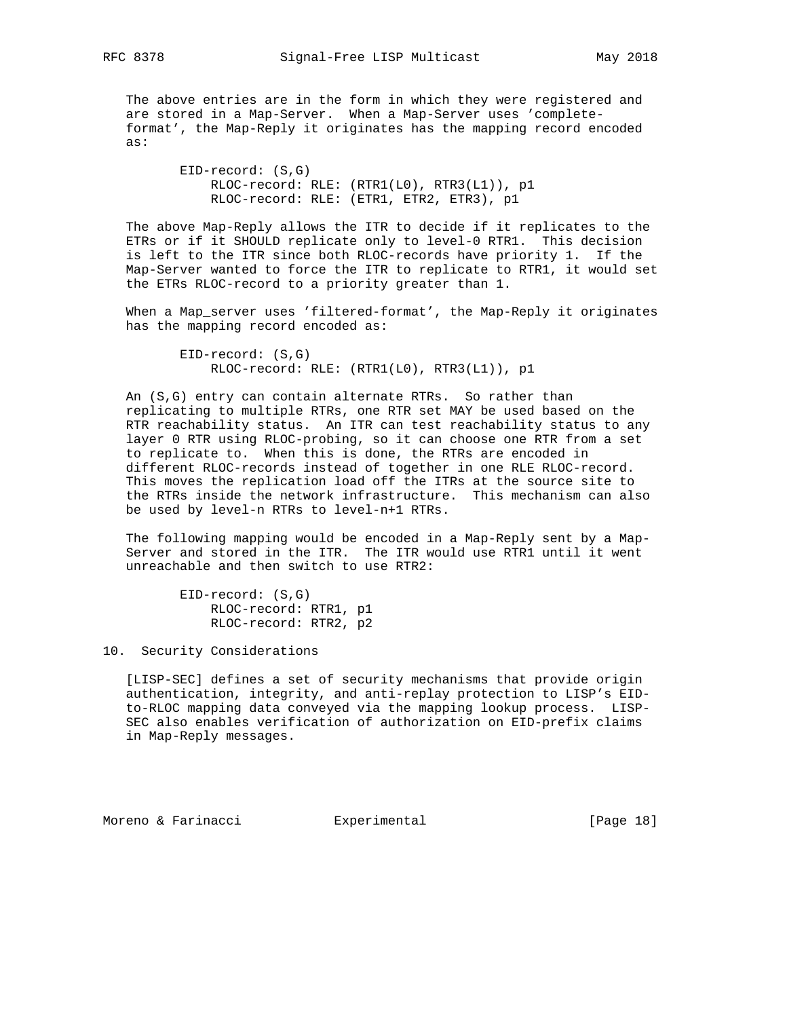The above entries are in the form in which they were registered and are stored in a Map-Server. When a Map-Server uses 'complete format', the Map-Reply it originates has the mapping record encoded as:

> EID-record: (S,G) RLOC-record: RLE: (RTR1(L0), RTR3(L1)), p1 RLOC-record: RLE: (ETR1, ETR2, ETR3), p1

 The above Map-Reply allows the ITR to decide if it replicates to the ETRs or if it SHOULD replicate only to level-0 RTR1. This decision is left to the ITR since both RLOC-records have priority 1. If the Map-Server wanted to force the ITR to replicate to RTR1, it would set the ETRs RLOC-record to a priority greater than 1.

 When a Map\_server uses 'filtered-format', the Map-Reply it originates has the mapping record encoded as:

> EID-record: (S,G) RLOC-record: RLE: (RTR1(L0), RTR3(L1)), p1

 An (S,G) entry can contain alternate RTRs. So rather than replicating to multiple RTRs, one RTR set MAY be used based on the RTR reachability status. An ITR can test reachability status to any layer 0 RTR using RLOC-probing, so it can choose one RTR from a set to replicate to. When this is done, the RTRs are encoded in different RLOC-records instead of together in one RLE RLOC-record. This moves the replication load off the ITRs at the source site to the RTRs inside the network infrastructure. This mechanism can also be used by level-n RTRs to level-n+1 RTRs.

 The following mapping would be encoded in a Map-Reply sent by a Map- Server and stored in the ITR. The ITR would use RTR1 until it went unreachable and then switch to use RTR2:

> EID-record: (S,G) RLOC-record: RTR1, p1 RLOC-record: RTR2, p2

10. Security Considerations

 [LISP-SEC] defines a set of security mechanisms that provide origin authentication, integrity, and anti-replay protection to LISP's EID to-RLOC mapping data conveyed via the mapping lookup process. LISP- SEC also enables verification of authorization on EID-prefix claims in Map-Reply messages.

Moreno & Farinacci and Experimental [Page 18]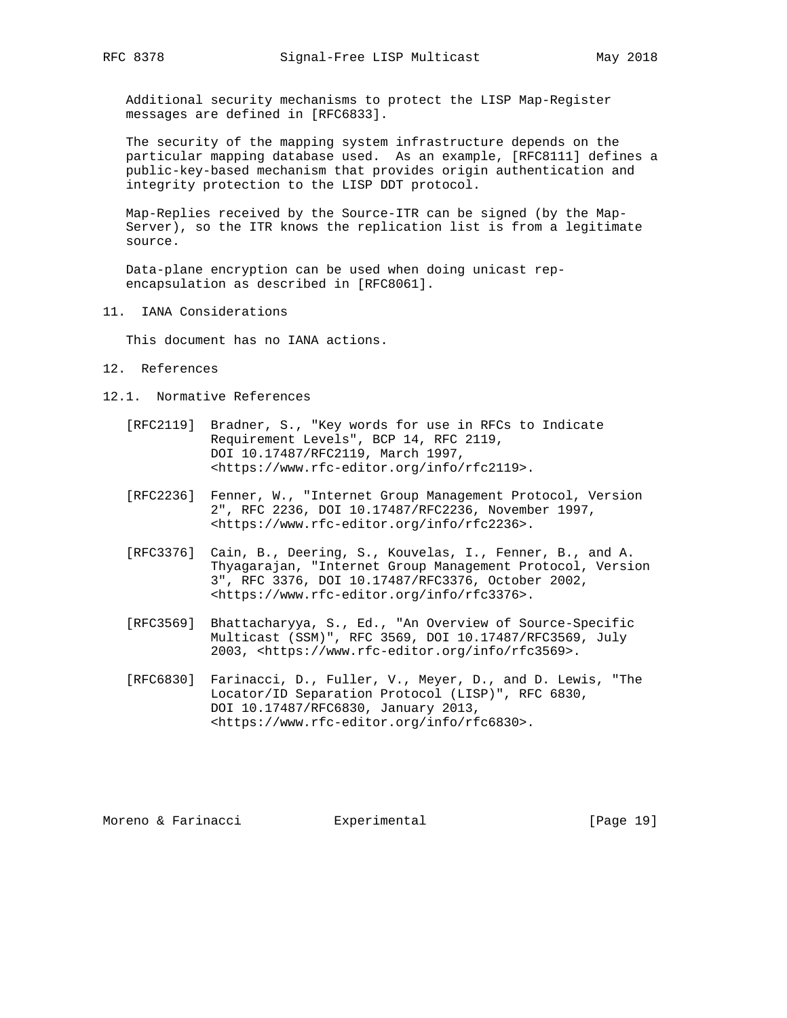Additional security mechanisms to protect the LISP Map-Register messages are defined in [RFC6833].

 The security of the mapping system infrastructure depends on the particular mapping database used. As an example, [RFC8111] defines a public-key-based mechanism that provides origin authentication and integrity protection to the LISP DDT protocol.

 Map-Replies received by the Source-ITR can be signed (by the Map- Server), so the ITR knows the replication list is from a legitimate source.

 Data-plane encryption can be used when doing unicast rep encapsulation as described in [RFC8061].

11. IANA Considerations

This document has no IANA actions.

- 12. References
- 12.1. Normative References
	- [RFC2119] Bradner, S., "Key words for use in RFCs to Indicate Requirement Levels", BCP 14, RFC 2119, DOI 10.17487/RFC2119, March 1997, <https://www.rfc-editor.org/info/rfc2119>.
	- [RFC2236] Fenner, W., "Internet Group Management Protocol, Version 2", RFC 2236, DOI 10.17487/RFC2236, November 1997, <https://www.rfc-editor.org/info/rfc2236>.
	- [RFC3376] Cain, B., Deering, S., Kouvelas, I., Fenner, B., and A. Thyagarajan, "Internet Group Management Protocol, Version 3", RFC 3376, DOI 10.17487/RFC3376, October 2002, <https://www.rfc-editor.org/info/rfc3376>.
	- [RFC3569] Bhattacharyya, S., Ed., "An Overview of Source-Specific Multicast (SSM)", RFC 3569, DOI 10.17487/RFC3569, July 2003, <https://www.rfc-editor.org/info/rfc3569>.
	- [RFC6830] Farinacci, D., Fuller, V., Meyer, D., and D. Lewis, "The Locator/ID Separation Protocol (LISP)", RFC 6830, DOI 10.17487/RFC6830, January 2013, <https://www.rfc-editor.org/info/rfc6830>.

Moreno & Farinacci and Experimental [Page 19]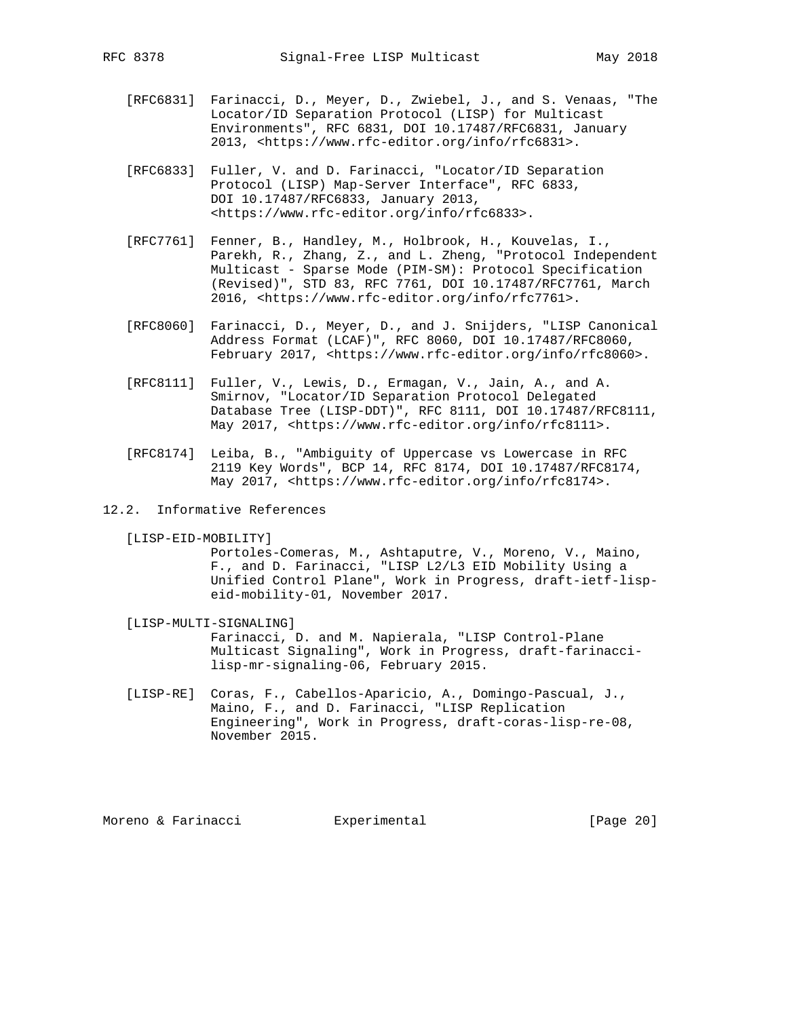- [RFC6831] Farinacci, D., Meyer, D., Zwiebel, J., and S. Venaas, "The Locator/ID Separation Protocol (LISP) for Multicast Environments", RFC 6831, DOI 10.17487/RFC6831, January 2013, <https://www.rfc-editor.org/info/rfc6831>.
- [RFC6833] Fuller, V. and D. Farinacci, "Locator/ID Separation Protocol (LISP) Map-Server Interface", RFC 6833, DOI 10.17487/RFC6833, January 2013, <https://www.rfc-editor.org/info/rfc6833>.
- [RFC7761] Fenner, B., Handley, M., Holbrook, H., Kouvelas, I., Parekh, R., Zhang, Z., and L. Zheng, "Protocol Independent Multicast - Sparse Mode (PIM-SM): Protocol Specification (Revised)", STD 83, RFC 7761, DOI 10.17487/RFC7761, March 2016, <https://www.rfc-editor.org/info/rfc7761>.
- [RFC8060] Farinacci, D., Meyer, D., and J. Snijders, "LISP Canonical Address Format (LCAF)", RFC 8060, DOI 10.17487/RFC8060, February 2017, <https://www.rfc-editor.org/info/rfc8060>.
- [RFC8111] Fuller, V., Lewis, D., Ermagan, V., Jain, A., and A. Smirnov, "Locator/ID Separation Protocol Delegated Database Tree (LISP-DDT)", RFC 8111, DOI 10.17487/RFC8111, May 2017, <https://www.rfc-editor.org/info/rfc8111>.
- [RFC8174] Leiba, B., "Ambiguity of Uppercase vs Lowercase in RFC 2119 Key Words", BCP 14, RFC 8174, DOI 10.17487/RFC8174, May 2017, <https://www.rfc-editor.org/info/rfc8174>.
- 12.2. Informative References
	- [LISP-EID-MOBILITY]

 Portoles-Comeras, M., Ashtaputre, V., Moreno, V., Maino, F., and D. Farinacci, "LISP L2/L3 EID Mobility Using a Unified Control Plane", Work in Progress, draft-ietf-lisp eid-mobility-01, November 2017.

- [LISP-MULTI-SIGNALING] Farinacci, D. and M. Napierala, "LISP Control-Plane Multicast Signaling", Work in Progress, draft-farinacci lisp-mr-signaling-06, February 2015.
- [LISP-RE] Coras, F., Cabellos-Aparicio, A., Domingo-Pascual, J., Maino, F., and D. Farinacci, "LISP Replication Engineering", Work in Progress, draft-coras-lisp-re-08, November 2015.

Moreno & Farinacci and Experimental [Page 20]